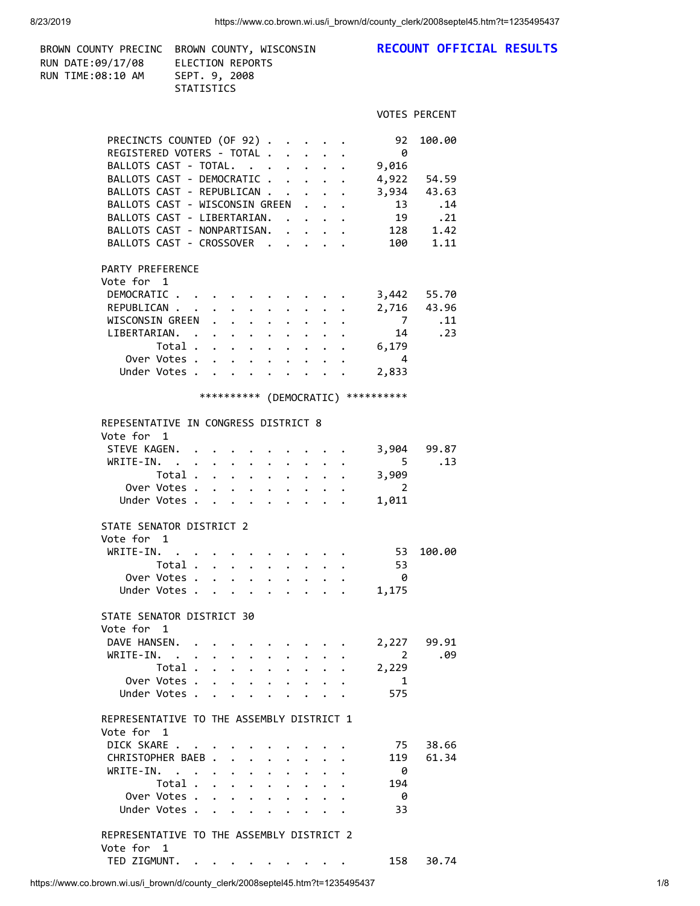| BROWN COUNTY PRECINC BROWN COUNTY, WISCONSIN<br>RUN DATE:09/17/08 ELECTION REPORTS<br>RUN TIME:08:10 AM SEPT. 9, 2008<br>STATISTICS                                  |                                                                                                                                                                                                                                                                                     |                                                                                 | RECOUNT OFFICIAL RESULTS                                                                           |
|----------------------------------------------------------------------------------------------------------------------------------------------------------------------|-------------------------------------------------------------------------------------------------------------------------------------------------------------------------------------------------------------------------------------------------------------------------------------|---------------------------------------------------------------------------------|----------------------------------------------------------------------------------------------------|
|                                                                                                                                                                      |                                                                                                                                                                                                                                                                                     |                                                                                 | <b>VOTES PERCENT</b>                                                                               |
| PARTY PREFERENCE<br>Vote for 1                                                                                                                                       | PRECINCTS COUNTED (OF 92)<br>REGISTERED VOTERS - TOTAL<br>BALLOTS CAST - TOTAL.<br>BALLOTS CAST - DEMOCRATIC<br>BALLOTS CAST - REPUBLICAN<br>BALLOTS CAST - WISCONSIN GREEN<br>BALLOTS CAST - LIBERTARIAN.<br>BALLOTS CAST - NONPARTISAN.<br>BALLOTS CAST - CROSSOVER<br>DEMOCRATIC | 92<br>0<br>9,016                                                                | 100.00<br>4,922 54.59<br>3,934 43.63<br>13<br>.14<br>19 .21<br>128 1.42<br>100 1.11<br>3,442 55.70 |
|                                                                                                                                                                      | REPUBLICAN<br>WISCONSIN GREEN<br>LIBERTARIAN.<br>Total 6,179<br>Over Votes<br>Under Votes<br>*********** (DEMOCRATIC) **********                                                                                                                                                    | $\overline{7}$<br>14<br>$\overline{4}$<br>2,833                                 | 2,716 43.96<br>.11<br>.23                                                                          |
| REPESENTATIVE IN CONGRESS DISTRICT 8                                                                                                                                 |                                                                                                                                                                                                                                                                                     |                                                                                 |                                                                                                    |
| Vote for 1<br>STEVE KAGEN.<br>WRITE-IN.<br>STATE SENATOR DISTRICT 2                                                                                                  | Total $\cdots$ $\cdots$ $\cdots$<br>Over Votes<br>Under Votes                                                                                                                                                                                                                       | 3,904<br>$\overline{5}$<br>3,909<br>$\overline{\phantom{a}}$<br>1,011<br>$\sim$ | 99.87<br>.13                                                                                       |
| Vote for 1<br>Total .<br>Over Votes .<br>Under Votes.<br>STATE SENATOR DISTRICT 30                                                                                   | WRITE-IN.                                                                                                                                                                                                                                                                           | 53<br>53<br>0<br>1,175                                                          | 100.00                                                                                             |
| Vote for 1<br>DAVE HANSEN.<br>WRITE-IN.<br>Total.<br>Over Votes .<br>Under Votes.                                                                                    | $\ddot{\phantom{0}}$<br>$\bullet$ .<br>$\ddot{\phantom{0}}$                                                                                                                                                                                                                         | 2,227<br>2<br>2,229<br>1<br>575                                                 | 99.91<br>.09                                                                                       |
| REPRESENTATIVE TO THE ASSEMBLY DISTRICT 1<br>Vote for 1<br>DICK SKARE<br>CHRISTOPHER BAEB.<br>WRITE-IN.<br>$\cdot$ $\cdot$<br>Total.<br>Over Votes.<br>Under Votes . | $\bullet$                                                                                                                                                                                                                                                                           | 75<br>119<br>0<br>194<br>- 0<br>33                                              | 38.66<br>61.34                                                                                     |
| REPRESENTATIVE TO THE ASSEMBLY DISTRICT 2<br>Vote for 1<br>TED ZIGMUNT.<br>$\sim$ $\sim$ $\sim$                                                                      | $\cdot$ $\cdot$ $\cdot$ $\cdot$                                                                                                                                                                                                                                                     | 158                                                                             | 30.74                                                                                              |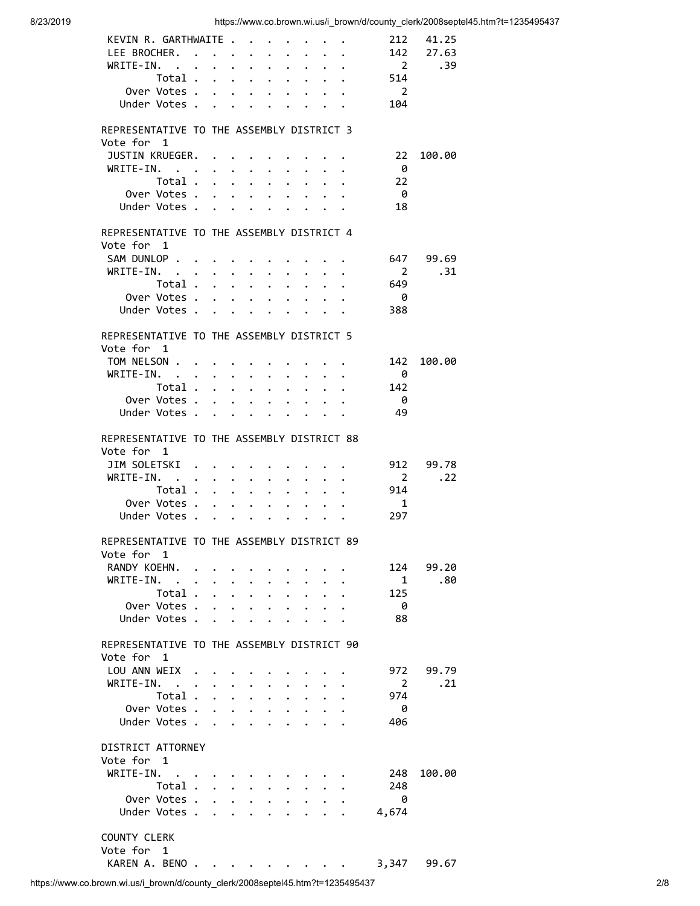| KEVIN R. GARTHWAITE                        |                                                                               |                                        |                                                                                                                                                                                                                               |                                                                 |                      |                                  |                                                                 |                                                             | 212                   | 41.25     |  |
|--------------------------------------------|-------------------------------------------------------------------------------|----------------------------------------|-------------------------------------------------------------------------------------------------------------------------------------------------------------------------------------------------------------------------------|-----------------------------------------------------------------|----------------------|----------------------------------|-----------------------------------------------------------------|-------------------------------------------------------------|-----------------------|-----------|--|
| LEE BROCHER.                               |                                                                               |                                        | $\bullet$ . The set of $\bullet$                                                                                                                                                                                              | $\bullet$ . The set of $\bullet$                                | $\ddot{\phantom{0}}$ | $\ddot{\phantom{0}}$             | $\mathbf{r} = \mathbf{r} \mathbf{r}$ .                          |                                                             | 142                   | 27.63     |  |
| WRITE-IN.                                  |                                                                               |                                        |                                                                                                                                                                                                                               | $\ddot{\phantom{a}}$                                            | $\ddot{\phantom{a}}$ | $\ddot{\phantom{a}}$             | $\mathbf{r}$ , $\mathbf{r}$                                     |                                                             | $\overline{2}$        | .39       |  |
| Total .                                    | $\ddot{\phantom{0}}$                                                          | $\ddot{\phantom{0}}$                   | $\bullet$ .                                                                                                                                                                                                                   | $\bullet$                                                       | $\bullet$            | $\bullet$                        |                                                                 | $\mathbf{r} = \mathbf{r} \times \mathbf{r}$ .               | 514                   |           |  |
| Over Votes .                               | $\ddot{\phantom{0}}$                                                          | $\ddot{\phantom{a}}$                   | $\bullet$ .                                                                                                                                                                                                                   | $\bullet$ .<br><br><br><br><br><br><br><br><br><br><br><br><br> |                      |                                  | $\bullet$ .<br><br><br><br><br><br><br><br><br><br><br><br>     |                                                             | $\overline{2}$        |           |  |
| Under Votes .                              | $\sim$ $\sim$                                                                 |                                        |                                                                                                                                                                                                                               |                                                                 |                      |                                  |                                                                 |                                                             | 104                   |           |  |
|                                            |                                                                               |                                        |                                                                                                                                                                                                                               |                                                                 |                      |                                  |                                                                 |                                                             |                       |           |  |
| REPRESENTATIVE TO THE ASSEMBLY DISTRICT 3  |                                                                               |                                        |                                                                                                                                                                                                                               |                                                                 |                      |                                  |                                                                 |                                                             |                       |           |  |
| Vote for 1                                 |                                                                               |                                        |                                                                                                                                                                                                                               |                                                                 |                      |                                  |                                                                 |                                                             |                       |           |  |
| JUSTIN KRUEGER.                            |                                                                               |                                        |                                                                                                                                                                                                                               |                                                                 |                      |                                  |                                                                 |                                                             | 22                    | 100.00    |  |
| $WRITE-IN.$                                |                                                                               |                                        | $\cdot$ $\cdot$ $\cdot$ $\cdot$                                                                                                                                                                                               |                                                                 | $\ddot{\phantom{0}}$ | $\bullet$ . The set of $\bullet$ | $\mathbf{r} = \mathbf{r}$                                       |                                                             | - 0                   |           |  |
| Total .                                    | $\ddot{\phantom{0}}$                                                          | $\ddot{\phantom{0}}$                   | $\bullet$ .                                                                                                                                                                                                                   | $\bullet$ .                                                     | $\bullet$            | $\bullet$                        | $\bullet$ .                                                     | $\bullet$                                                   | 22                    |           |  |
| Over Votes .                               | $\ddot{\phantom{0}}$                                                          | $\ddot{\phantom{0}}$                   | $\ddot{\phantom{0}}$                                                                                                                                                                                                          | $\bullet$ .                                                     | $\bullet$ .          | $\bullet$                        | $\cdots$                                                        |                                                             | - 0                   |           |  |
| Under Votes                                |                                                                               |                                        |                                                                                                                                                                                                                               |                                                                 |                      |                                  |                                                                 |                                                             | 18                    |           |  |
|                                            |                                                                               |                                        |                                                                                                                                                                                                                               |                                                                 |                      |                                  |                                                                 |                                                             |                       |           |  |
| REPRESENTATIVE TO THE ASSEMBLY DISTRICT 4  |                                                                               |                                        |                                                                                                                                                                                                                               |                                                                 |                      |                                  |                                                                 |                                                             |                       |           |  |
| Vote for 1                                 |                                                                               |                                        |                                                                                                                                                                                                                               |                                                                 |                      |                                  |                                                                 |                                                             |                       |           |  |
| SAM DUNLOP                                 |                                                                               |                                        |                                                                                                                                                                                                                               |                                                                 |                      |                                  |                                                                 |                                                             |                       | 647 99.69 |  |
|                                            |                                                                               |                                        |                                                                                                                                                                                                                               |                                                                 |                      |                                  |                                                                 |                                                             |                       |           |  |
| $WRITE-IN.$                                |                                                                               |                                        |                                                                                                                                                                                                                               | $\ddot{\phantom{0}}$                                            | $\ddot{\phantom{0}}$ | $\ddot{\phantom{0}}$             | $\ddot{\phantom{a}}$                                            |                                                             | $\overline{2}$        | .31       |  |
| Total .                                    | $\ddot{\phantom{0}}$                                                          | $\ddot{\phantom{0}}$                   | $\bullet$ .                                                                                                                                                                                                                   | $\bullet$                                                       | $\bullet$            | $\ddot{\phantom{0}}$             | $\bullet$ .                                                     | $\bullet$                                                   | 649                   |           |  |
| Over Votes .                               | $\ddot{\phantom{0}}$                                                          | $\ddot{\phantom{a}}$                   | $\bullet$ .                                                                                                                                                                                                                   | $\bullet$ .                                                     | $\bullet$ .          |                                  | $\bullet$ .<br><br><br><br><br><br><br><br><br><br><br><br>     |                                                             | - 0                   |           |  |
| Under Votes.                               | $\sim$ $\sim$                                                                 |                                        |                                                                                                                                                                                                                               |                                                                 |                      |                                  |                                                                 |                                                             | 388                   |           |  |
|                                            |                                                                               |                                        |                                                                                                                                                                                                                               |                                                                 |                      |                                  |                                                                 |                                                             |                       |           |  |
| REPRESENTATIVE TO THE ASSEMBLY DISTRICT 5  |                                                                               |                                        |                                                                                                                                                                                                                               |                                                                 |                      |                                  |                                                                 |                                                             |                       |           |  |
| Vote for 1                                 |                                                                               |                                        |                                                                                                                                                                                                                               |                                                                 |                      |                                  |                                                                 |                                                             |                       |           |  |
| TOM NELSON                                 |                                                                               |                                        |                                                                                                                                                                                                                               |                                                                 |                      |                                  |                                                                 |                                                             | 142                   | 100.00    |  |
| $WRITE-IN.$                                |                                                                               |                                        |                                                                                                                                                                                                                               |                                                                 | $\ddot{\phantom{0}}$ | $\ddot{\phantom{0}}$             | $\cdot$ $\cdot$                                                 |                                                             | - 0                   |           |  |
| Total .                                    | $\sim$ $\sim$                                                                 | $\ddot{\phantom{0}}$                   | $\bullet$ .                                                                                                                                                                                                                   | $\bullet$ .                                                     | $\ddot{\phantom{0}}$ | $\bullet$                        | $\bullet$ .                                                     | $\bullet$ .<br><br><br><br><br><br><br><br><br><br><br><br> | 142                   |           |  |
| Over Votes .                               | $\ddot{\phantom{0}}$                                                          | $\ddot{\phantom{a}}$                   | $\ddot{\phantom{0}}$                                                                                                                                                                                                          | $\bullet$ .                                                     | $\bullet$ .          |                                  | $\bullet$ .<br><br><br><br><br><br><br><br><br><br><br><br><br> |                                                             | - 0                   |           |  |
| Under Votes.                               |                                                                               |                                        | . The contract of the contract of the contract of the contract of the contract of the contract of the contract of the contract of the contract of the contract of the contract of the contract of the contract of the contrac |                                                                 |                      |                                  |                                                                 |                                                             | 49                    |           |  |
|                                            |                                                                               |                                        |                                                                                                                                                                                                                               |                                                                 |                      |                                  |                                                                 |                                                             |                       |           |  |
| REPRESENTATIVE TO THE ASSEMBLY DISTRICT 88 |                                                                               |                                        |                                                                                                                                                                                                                               |                                                                 |                      |                                  |                                                                 |                                                             |                       |           |  |
| Vote for 1                                 |                                                                               |                                        |                                                                                                                                                                                                                               |                                                                 |                      |                                  |                                                                 |                                                             |                       |           |  |
| JIM SOLETSKI                               |                                                                               |                                        |                                                                                                                                                                                                                               |                                                                 |                      |                                  |                                                                 |                                                             | 912                   | 99.78     |  |
| $WRITE-IN.$                                |                                                                               | $\cdot$ $\cdot$ $\cdot$                |                                                                                                                                                                                                                               | $\bullet$ . The set of $\bullet$                                | $\ddot{\phantom{0}}$ | $\bullet$ . The set of $\bullet$ | $\ddot{\phantom{a}}$                                            |                                                             | $\overline{2}$        | .22       |  |
|                                            |                                                                               |                                        |                                                                                                                                                                                                                               |                                                                 |                      |                                  |                                                                 |                                                             |                       |           |  |
|                                            |                                                                               |                                        |                                                                                                                                                                                                                               |                                                                 |                      |                                  |                                                                 |                                                             |                       |           |  |
| Total .                                    | $\ddot{\phantom{a}}$                                                          | $\ddot{\phantom{a}}$                   | $\bullet$ .                                                                                                                                                                                                                   | $\bullet$                                                       | $\bullet$ .          | $\bullet$ .                      | $\bullet$ .                                                     | $\bullet$                                                   | 914<br>$\overline{1}$ |           |  |
| Over Votes .                               | $\bullet$                                                                     | $\ddot{\phantom{a}}$                   | $\bullet$ .                                                                                                                                                                                                                   | $\bullet$                                                       | $\bullet$            | $\ddot{\phantom{0}}$             | $\ddot{\phantom{0}}$                                            |                                                             |                       |           |  |
| Under Votes .                              | $\sim$ $\sim$                                                                 | $\bullet$ .                            | $\mathbf{z} = \mathbf{z} + \mathbf{z}$ , where $\mathbf{z} = \mathbf{z}$                                                                                                                                                      |                                                                 |                      |                                  | $\bullet$ , $\bullet$ , $\bullet$ , $\bullet$ , $\bullet$       |                                                             | 297                   |           |  |
|                                            |                                                                               |                                        |                                                                                                                                                                                                                               |                                                                 |                      |                                  |                                                                 |                                                             |                       |           |  |
| REPRESENTATIVE TO THE ASSEMBLY DISTRICT 89 |                                                                               |                                        |                                                                                                                                                                                                                               |                                                                 |                      |                                  |                                                                 |                                                             |                       |           |  |
| Vote for 1                                 |                                                                               |                                        |                                                                                                                                                                                                                               |                                                                 |                      |                                  |                                                                 |                                                             |                       |           |  |
| RANDY KOEHN.                               |                                                                               |                                        |                                                                                                                                                                                                                               |                                                                 |                      |                                  |                                                                 |                                                             | 124                   | 99.20     |  |
| WRITE-IN.                                  |                                                                               |                                        |                                                                                                                                                                                                                               |                                                                 |                      |                                  | $\ddot{\phantom{0}}$                                            |                                                             | $\mathbf{1}$          | .80       |  |
| Total .                                    | <b>Contract Contract Contract</b>                                             |                                        |                                                                                                                                                                                                                               | $\bullet$ .                                                     | $\bullet$ .          | $\bullet$                        | $\bullet$                                                       |                                                             | 125                   |           |  |
| Over Votes .                               | $\sim$                                                                        |                                        | $\cdot$ $\cdot$ $\cdot$ $\cdot$ $\cdot$                                                                                                                                                                                       |                                                                 |                      |                                  | $\sim$ $\sim$ $\sim$                                            |                                                             | - 0                   |           |  |
| Under Votes .                              | $\bullet$ .                                                                   |                                        | $\cdot$ $\cdot$ $\cdot$ $\cdot$ $\cdot$ $\cdot$ $\cdot$                                                                                                                                                                       |                                                                 |                      |                                  |                                                                 |                                                             | 88                    |           |  |
|                                            |                                                                               |                                        |                                                                                                                                                                                                                               |                                                                 |                      |                                  |                                                                 |                                                             |                       |           |  |
| REPRESENTATIVE TO THE ASSEMBLY DISTRICT 90 |                                                                               |                                        |                                                                                                                                                                                                                               |                                                                 |                      |                                  |                                                                 |                                                             |                       |           |  |
| Vote for 1                                 |                                                                               |                                        |                                                                                                                                                                                                                               |                                                                 |                      |                                  |                                                                 |                                                             |                       |           |  |
| LOU ANN WEIX.                              | $\mathbf{a}^{\prime}$ , and $\mathbf{a}^{\prime}$ , and $\mathbf{a}^{\prime}$ |                                        |                                                                                                                                                                                                                               |                                                                 |                      |                                  |                                                                 |                                                             | 972                   | 99.79     |  |
| WRITE-IN.                                  | $\ddot{\phantom{a}}$                                                          |                                        | $\ddot{\phantom{0}}$                                                                                                                                                                                                          | $\ddot{\phantom{0}}$                                            |                      |                                  |                                                                 |                                                             | $\overline{2}$        | .21       |  |
| Total .                                    | $\cdot$ $\cdot$                                                               |                                        | $\bullet$ .                                                                                                                                                                                                                   | $\bullet$ .                                                     | $\ddot{\phantom{0}}$ | $\bullet$                        |                                                                 |                                                             | 974                   |           |  |
| Over Votes                                 |                                                                               | $\ddot{\phantom{0}}$                   | $\sim$                                                                                                                                                                                                                        | $\bullet$ .                                                     | $\bullet$ .          | $\bullet$ .                      |                                                                 |                                                             | - 0                   |           |  |
| Under Votes                                |                                                                               |                                        | $\cdot$ $\cdot$ $\cdot$ $\cdot$ $\cdot$ $\cdot$ $\cdot$ $\cdot$                                                                                                                                                               |                                                                 |                      |                                  |                                                                 |                                                             | 406                   |           |  |
|                                            |                                                                               |                                        |                                                                                                                                                                                                                               |                                                                 |                      |                                  |                                                                 |                                                             |                       |           |  |
| DISTRICT ATTORNEY                          |                                                                               |                                        |                                                                                                                                                                                                                               |                                                                 |                      |                                  |                                                                 |                                                             |                       |           |  |
| Vote for 1                                 |                                                                               |                                        |                                                                                                                                                                                                                               |                                                                 |                      |                                  |                                                                 |                                                             |                       |           |  |
| WRITE-IN.                                  |                                                                               |                                        |                                                                                                                                                                                                                               |                                                                 |                      |                                  |                                                                 |                                                             | 248                   | 100.00    |  |
| Total                                      |                                                                               |                                        |                                                                                                                                                                                                                               | $\mathbf{L}$                                                    | $\ddot{\phantom{0}}$ |                                  | $\cdot$ $\cdot$ $\cdot$                                         |                                                             | 248                   |           |  |
| Over Votes                                 |                                                                               | $\mathbf{z} = \mathbf{z} + \mathbf{z}$ |                                                                                                                                                                                                                               | $\bullet$ .                                                     | $\bullet$ .          |                                  | $\cdot$ $\cdot$ $\cdot$                                         |                                                             | - 0                   |           |  |
|                                            |                                                                               |                                        |                                                                                                                                                                                                                               |                                                                 |                      |                                  |                                                                 |                                                             | 4,674                 |           |  |
| Under Votes                                |                                                                               |                                        |                                                                                                                                                                                                                               |                                                                 |                      |                                  |                                                                 |                                                             |                       |           |  |
| COUNTY CLERK                               |                                                                               |                                        |                                                                                                                                                                                                                               |                                                                 |                      |                                  |                                                                 |                                                             |                       |           |  |
| Vote for 1                                 |                                                                               |                                        |                                                                                                                                                                                                                               |                                                                 |                      |                                  |                                                                 |                                                             |                       |           |  |
| KAREN A. BENO.                             |                                                                               |                                        |                                                                                                                                                                                                                               |                                                                 |                      |                                  |                                                                 |                                                             | 3,347                 | 99.67     |  |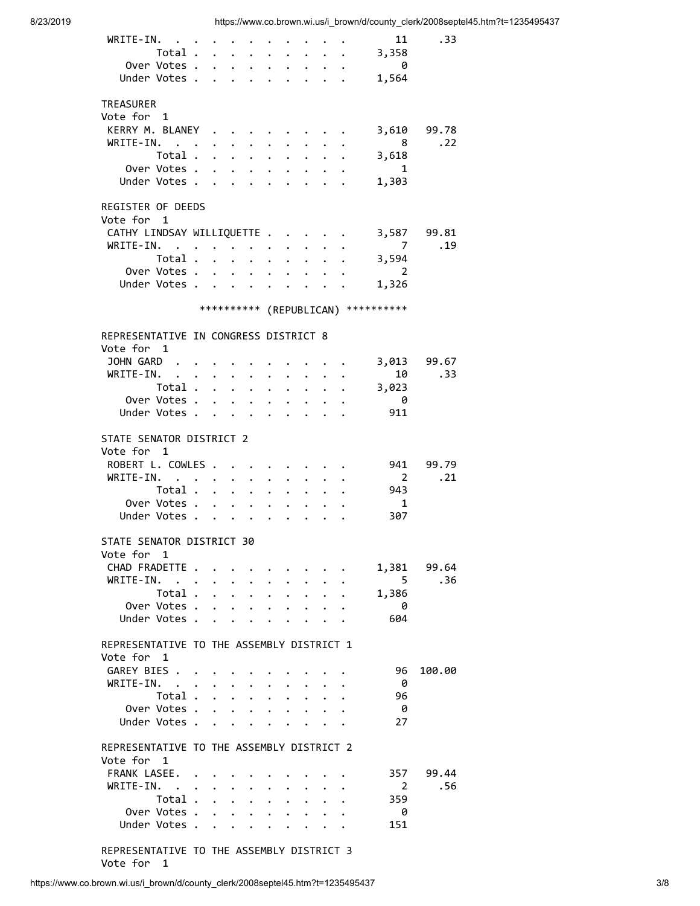| WRITE-IN.<br>Total .<br>Over Votes .<br>Under Votes .   | $\ddot{\phantom{a}}$<br>$\ddot{\phantom{0}}$<br>$\ddot{\phantom{0}}$ | $\bullet$ .          | $\ddot{\phantom{0}}$<br>$\ddot{\phantom{a}}$<br>$\bullet$ .<br><br><br><br><br><br><br><br><br><br><br><br><br><br><br><br><br><br><br><br><br><br><br><br><br><br><br><br><br><br><br><br><br><br><br>                                                                                                                                                                                                                                                                                                                                                 | $\ddot{\phantom{0}}$<br>$\ddot{\phantom{0}}$      | $\ddot{\phantom{a}}$<br>$\bullet$ |                      |                                    |                                      | 11<br>3,358<br>$\theta$<br>1,564 | .33              |
|---------------------------------------------------------|----------------------------------------------------------------------|----------------------|---------------------------------------------------------------------------------------------------------------------------------------------------------------------------------------------------------------------------------------------------------------------------------------------------------------------------------------------------------------------------------------------------------------------------------------------------------------------------------------------------------------------------------------------------------|---------------------------------------------------|-----------------------------------|----------------------|------------------------------------|--------------------------------------|----------------------------------|------------------|
| <b>TREASURER</b>                                        |                                                                      |                      |                                                                                                                                                                                                                                                                                                                                                                                                                                                                                                                                                         |                                                   |                                   |                      |                                    |                                      |                                  |                  |
| Vote for 1                                              |                                                                      |                      |                                                                                                                                                                                                                                                                                                                                                                                                                                                                                                                                                         |                                                   |                                   |                      |                                    |                                      |                                  |                  |
| KERRY M. BLANEY                                         |                                                                      |                      |                                                                                                                                                                                                                                                                                                                                                                                                                                                                                                                                                         |                                                   |                                   |                      |                                    |                                      | 3,610                            | 99.78            |
| WRITE-IN.                                               |                                                                      |                      | $\ddot{\phantom{0}}$                                                                                                                                                                                                                                                                                                                                                                                                                                                                                                                                    | $\ddot{\phantom{0}}$                              |                                   |                      |                                    |                                      | 8                                | .22              |
| Total .                                                 |                                                                      | $\ddot{\phantom{0}}$ | $\sim$                                                                                                                                                                                                                                                                                                                                                                                                                                                                                                                                                  | $\ddot{\phantom{0}}$                              |                                   | $\ddot{\phantom{0}}$ |                                    |                                      | 3,618                            |                  |
| Over Votes .<br>Under Votes .                           | $\ddot{\phantom{0}}$                                                 | $\ddot{\phantom{a}}$ | $\bullet$                                                                                                                                                                                                                                                                                                                                                                                                                                                                                                                                               |                                                   |                                   |                      |                                    |                                      | $\overline{\mathbf{1}}$          |                  |
|                                                         | $\ddot{\phantom{0}}$                                                 | $\ddot{\phantom{a}}$ | $\sim$                                                                                                                                                                                                                                                                                                                                                                                                                                                                                                                                                  | $\ddot{\phantom{0}}$                              | $\bullet$                         |                      |                                    |                                      | 1,303                            |                  |
| REGISTER OF DEEDS                                       |                                                                      |                      |                                                                                                                                                                                                                                                                                                                                                                                                                                                                                                                                                         |                                                   |                                   |                      |                                    |                                      |                                  |                  |
| Vote for 1                                              |                                                                      |                      |                                                                                                                                                                                                                                                                                                                                                                                                                                                                                                                                                         |                                                   |                                   |                      |                                    |                                      |                                  |                  |
| CATHY LINDSAY WILLIQUETTE .                             |                                                                      |                      |                                                                                                                                                                                                                                                                                                                                                                                                                                                                                                                                                         |                                                   |                                   |                      |                                    |                                      |                                  | 3,587 99.81      |
| $WRITE-IN.$<br>Total .                                  |                                                                      |                      | $\mathbf{r} = \mathbf{r} \mathbf{r}$ , where $\mathbf{r} = \mathbf{r} \mathbf{r}$                                                                                                                                                                                                                                                                                                                                                                                                                                                                       | $\ddot{\phantom{0}}$<br>$\bullet$                 | $\ddot{\phantom{0}}$              |                      |                                    |                                      | $\overline{7}$<br>3,594          | .19              |
| Over Votes .                                            |                                                                      |                      | $\cdot$ $\cdot$ $\cdot$ $\cdot$                                                                                                                                                                                                                                                                                                                                                                                                                                                                                                                         | $\ddot{\phantom{0}}$                              | $\bullet$ .                       |                      |                                    |                                      | $\overline{\phantom{a}}$ 2       |                  |
| Under Votes                                             |                                                                      |                      |                                                                                                                                                                                                                                                                                                                                                                                                                                                                                                                                                         | $\ddot{\phantom{a}}$                              |                                   |                      | $\sim$ $\sim$ $\sim$ $\sim$ $\sim$ |                                      | 1,326                            |                  |
|                                                         |                                                                      |                      |                                                                                                                                                                                                                                                                                                                                                                                                                                                                                                                                                         |                                                   |                                   |                      |                                    |                                      |                                  |                  |
|                                                         |                                                                      |                      |                                                                                                                                                                                                                                                                                                                                                                                                                                                                                                                                                         |                                                   |                                   |                      |                                    | *********** (REPUBLICAN) *********** |                                  |                  |
| REPRESENTATIVE IN CONGRESS DISTRICT 8<br>Vote for 1     |                                                                      |                      |                                                                                                                                                                                                                                                                                                                                                                                                                                                                                                                                                         |                                                   |                                   |                      |                                    |                                      |                                  |                  |
| JOHN GARD                                               |                                                                      |                      |                                                                                                                                                                                                                                                                                                                                                                                                                                                                                                                                                         |                                                   |                                   |                      |                                    |                                      |                                  | 3,013 99.67      |
| WRITE-IN.                                               |                                                                      | $\bullet$            | $\bullet$ .                                                                                                                                                                                                                                                                                                                                                                                                                                                                                                                                             | $\ddot{\phantom{0}}$                              |                                   |                      |                                    |                                      | 10                               | .33              |
| Total .                                                 |                                                                      |                      | $\bullet$ .<br><br><br><br><br><br><br><br><br><br><br><br><br><br><br>                                                                                                                                                                                                                                                                                                                                                                                                                                                                                 | $\ddot{\phantom{0}}$                              |                                   |                      |                                    |                                      | 3,023                            |                  |
| Over Votes .<br>Under Votes.                            |                                                                      |                      |                                                                                                                                                                                                                                                                                                                                                                                                                                                                                                                                                         |                                                   |                                   |                      |                                    |                                      | - 0<br>911                       |                  |
|                                                         |                                                                      |                      |                                                                                                                                                                                                                                                                                                                                                                                                                                                                                                                                                         |                                                   |                                   |                      |                                    |                                      |                                  |                  |
| STATE SENATOR DISTRICT 2<br>Vote for 1                  |                                                                      |                      |                                                                                                                                                                                                                                                                                                                                                                                                                                                                                                                                                         |                                                   |                                   |                      |                                    |                                      |                                  |                  |
| ROBERT L. COWLES .                                      |                                                                      |                      |                                                                                                                                                                                                                                                                                                                                                                                                                                                                                                                                                         |                                                   |                                   |                      |                                    |                                      |                                  | 941 99.79        |
| WRITE-IN.                                               |                                                                      | $\bullet$            | $\ddot{\phantom{0}}$                                                                                                                                                                                                                                                                                                                                                                                                                                                                                                                                    |                                                   |                                   |                      |                                    |                                      | $\overline{\mathbf{2}}$          | .21              |
| Total .                                                 | $\ddot{\phantom{a}}$                                                 |                      | $\mathbf{L}^{\text{max}}$ , and $\mathbf{L}^{\text{max}}$                                                                                                                                                                                                                                                                                                                                                                                                                                                                                               |                                                   |                                   |                      |                                    |                                      | 943                              |                  |
| Over Votes .                                            | $\ddot{\phantom{a}}$                                                 |                      | $\ddot{\phantom{a}}$                                                                                                                                                                                                                                                                                                                                                                                                                                                                                                                                    |                                                   |                                   |                      |                                    |                                      | $\overline{1}$                   |                  |
| Under Votes .                                           | $\ddot{\phantom{0}}$                                                 | $\bullet$            | $\ddot{\phantom{a}}$                                                                                                                                                                                                                                                                                                                                                                                                                                                                                                                                    |                                                   |                                   |                      |                                    |                                      | 307                              |                  |
| STATE SENATOR DISTRICT 30<br>Vote for 1                 |                                                                      |                      |                                                                                                                                                                                                                                                                                                                                                                                                                                                                                                                                                         |                                                   |                                   |                      |                                    |                                      |                                  |                  |
| CHAD FRADETTE .                                         |                                                                      | $\bullet$            |                                                                                                                                                                                                                                                                                                                                                                                                                                                                                                                                                         | $\bullet$ $\bullet$ $\bullet$ $\bullet$ $\bullet$ |                                   |                      |                                    |                                      |                                  | 1,381 99.64      |
| WRITE-IN.                                               |                                                                      | $\bullet$ .          |                                                                                                                                                                                                                                                                                                                                                                                                                                                                                                                                                         | $\mathbf{r} = \mathbf{r} + \mathbf{r}$ .          |                                   |                      |                                    |                                      | $5^{\circ}$                      | .36              |
| Total .<br>Over Votes .                                 |                                                                      |                      | $\cdot$ $\cdot$ $\cdot$ $\cdot$                                                                                                                                                                                                                                                                                                                                                                                                                                                                                                                         |                                                   |                                   | $\bullet$            |                                    |                                      | 1,386<br>- 0                     |                  |
| Under Votes .                                           | $\ddot{\phantom{0}}$                                                 |                      | $\ddot{\phantom{a}}$<br>$\ddot{\phantom{a}}$                                                                                                                                                                                                                                                                                                                                                                                                                                                                                                            | $\mathbf{L}$                                      |                                   |                      |                                    |                                      | 604                              |                  |
|                                                         |                                                                      |                      |                                                                                                                                                                                                                                                                                                                                                                                                                                                                                                                                                         |                                                   |                                   |                      |                                    |                                      |                                  |                  |
| REPRESENTATIVE TO THE ASSEMBLY DISTRICT 1<br>Vote for 1 |                                                                      |                      |                                                                                                                                                                                                                                                                                                                                                                                                                                                                                                                                                         |                                                   |                                   |                      |                                    |                                      |                                  |                  |
| GAREY BIES                                              |                                                                      |                      |                                                                                                                                                                                                                                                                                                                                                                                                                                                                                                                                                         |                                                   |                                   |                      |                                    |                                      | 96                               | 100.00           |
| WRITE-IN.                                               |                                                                      |                      | $\cdot$ $\cdot$ $\cdot$ $\cdot$ $\cdot$ $\cdot$ $\cdot$                                                                                                                                                                                                                                                                                                                                                                                                                                                                                                 |                                                   |                                   | $\bullet$            |                                    |                                      | - 0                              |                  |
| Total .                                                 | $\mathbf{L}$                                                         |                      | $\cdot$ $\cdot$ $\cdot$ $\cdot$ $\cdot$                                                                                                                                                                                                                                                                                                                                                                                                                                                                                                                 |                                                   |                                   | $\ddot{\phantom{0}}$ |                                    |                                      | 96                               |                  |
| Over Votes .<br>Under Votes .                           | $\mathbf{r}$                                                         |                      | $\cdot$ $\cdot$ $\cdot$<br>$\ddot{\phantom{0}}$                                                                                                                                                                                                                                                                                                                                                                                                                                                                                                         | $\ddot{\phantom{0}}$                              |                                   |                      |                                    |                                      | - 0<br>27                        |                  |
|                                                         |                                                                      |                      |                                                                                                                                                                                                                                                                                                                                                                                                                                                                                                                                                         |                                                   |                                   |                      |                                    |                                      |                                  |                  |
| REPRESENTATIVE TO THE ASSEMBLY DISTRICT 2               |                                                                      |                      |                                                                                                                                                                                                                                                                                                                                                                                                                                                                                                                                                         |                                                   |                                   |                      |                                    |                                      |                                  |                  |
| Vote for 1                                              |                                                                      |                      |                                                                                                                                                                                                                                                                                                                                                                                                                                                                                                                                                         |                                                   |                                   |                      |                                    |                                      |                                  |                  |
| FRANK LASEE. .<br>WRITE-IN.                             |                                                                      |                      |                                                                                                                                                                                                                                                                                                                                                                                                                                                                                                                                                         |                                                   |                                   |                      |                                    |                                      | $\overline{\phantom{a}}$ 2       | 357 99.44<br>.56 |
| Total .                                                 | $\ddot{\phantom{0}}$                                                 |                      | $\mathbf{r} = \mathbf{r} \times \mathbf{r} \times \mathbf{r} \times \mathbf{r} \times \mathbf{r} \times \mathbf{r} \times \mathbf{r} \times \mathbf{r} \times \mathbf{r} \times \mathbf{r} \times \mathbf{r} \times \mathbf{r} \times \mathbf{r} \times \mathbf{r} \times \mathbf{r} \times \mathbf{r} \times \mathbf{r} \times \mathbf{r} \times \mathbf{r} \times \mathbf{r} \times \mathbf{r} \times \mathbf{r} \times \mathbf{r} \times \mathbf{r} \times \mathbf{r} \times \mathbf{r} \times \mathbf{r$<br>$\cdot$ $\cdot$ $\cdot$ $\cdot$ $\cdot$ |                                                   |                                   |                      |                                    |                                      | 359                              |                  |
| Over Votes .                                            | $\mathbf{L}^{\text{max}}$                                            |                      | $\ddot{\phantom{0}}$                                                                                                                                                                                                                                                                                                                                                                                                                                                                                                                                    | $\ddot{\phantom{0}}$                              |                                   |                      |                                    |                                      | - 0                              |                  |
| Under Votes .                                           |                                                                      | $\ddot{\phantom{0}}$ | $\ddot{\phantom{a}}$                                                                                                                                                                                                                                                                                                                                                                                                                                                                                                                                    |                                                   |                                   |                      |                                    |                                      | 151                              |                  |
| REDRESENTATTVE TO THE ASSEMBLY DISTRICT 3               |                                                                      |                      |                                                                                                                                                                                                                                                                                                                                                                                                                                                                                                                                                         |                                                   |                                   |                      |                                    |                                      |                                  |                  |

 REPRESENTATIVE TO THE ASSEMBLY DISTRICT 3 Vote for 1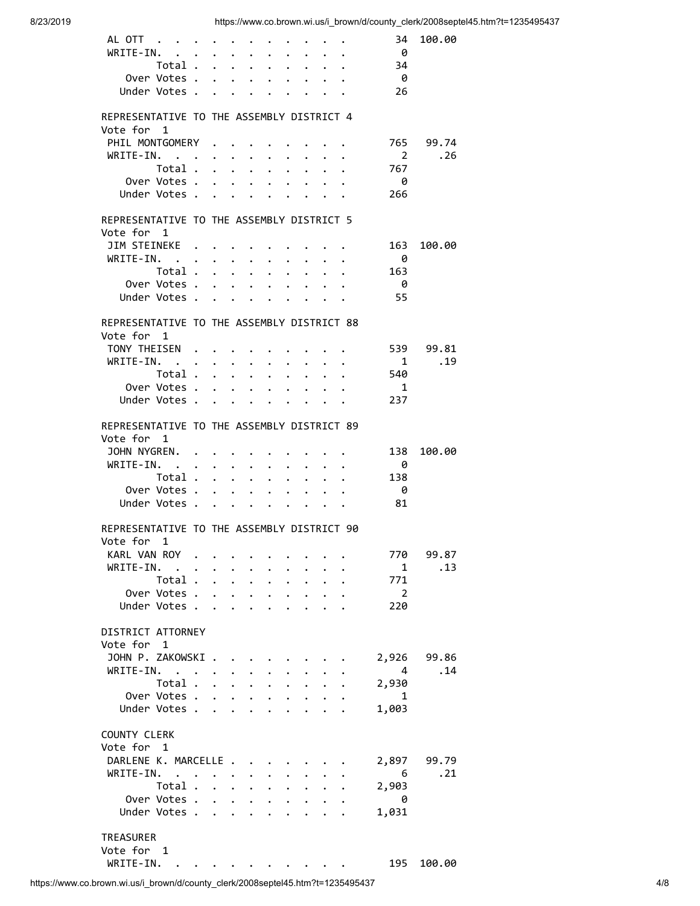| ALOTT                                      |                      |                           | $\bullet$            |                                            | $\bullet$ . The set of $\bullet$                                                        |                      |                      |                                        |                      | 34                         | 100.00      |  |
|--------------------------------------------|----------------------|---------------------------|----------------------|--------------------------------------------|-----------------------------------------------------------------------------------------|----------------------|----------------------|----------------------------------------|----------------------|----------------------------|-------------|--|
| WRITE-IN.<br>$\mathbf{L}$                  | $\ddot{\phantom{0}}$ |                           | $\ddot{\phantom{a}}$ | $\bullet$                                  | $\ddot{\phantom{0}}$                                                                    |                      | $\ddot{\phantom{0}}$ |                                        |                      | - 0                        |             |  |
| Total                                      |                      |                           |                      | $\mathcal{L}^{\text{max}}$                 | $\ddot{\phantom{0}}$                                                                    | $\ddot{\phantom{0}}$ | $\ddot{\phantom{0}}$ | $\ddot{\phantom{1}}$                   |                      | 34                         |             |  |
| Over Votes.                                |                      | $\mathbf{A}$              | $\mathbf{A}$         |                                            | $\mathbf{r}$ , $\mathbf{r}$ , $\mathbf{r}$                                              |                      |                      | $\cdot$ $\cdot$ $\cdot$                |                      | - 0                        |             |  |
| Under Votes .                              |                      | $\mathbf{A}$              |                      |                                            |                                                                                         |                      |                      |                                        |                      | 26                         |             |  |
|                                            |                      |                           |                      |                                            |                                                                                         |                      |                      |                                        |                      |                            |             |  |
| REPRESENTATIVE TO THE ASSEMBLY DISTRICT 4  |                      |                           |                      |                                            |                                                                                         |                      |                      |                                        |                      |                            |             |  |
| Vote for 1                                 |                      |                           |                      |                                            |                                                                                         |                      |                      |                                        |                      |                            |             |  |
| PHIL MONTGOMERY                            |                      |                           |                      |                                            |                                                                                         |                      |                      |                                        |                      |                            | 765 99.74   |  |
| WRITE-IN.                                  |                      |                           | $\bullet$            | $\ddot{\phantom{0}}$                       | $\bullet$                                                                               | $\ddot{\phantom{0}}$ | $\ddot{\phantom{0}}$ |                                        |                      | $\overline{\phantom{0}}^2$ | .26         |  |
| Total .                                    |                      | $\ddot{\phantom{0}}$      | $\mathbf{L}$         | $\mathbf{L}$                               | $\ddot{\phantom{0}}$                                                                    | $\ddot{\phantom{0}}$ | $\ddot{\phantom{0}}$ | $\ddot{\phantom{0}}$                   | $\ddot{\phantom{a}}$ | 767                        |             |  |
| Over Votes .                               |                      |                           |                      |                                            | $\mathbf{r}$ , $\mathbf{r}$ , $\mathbf{r}$ , $\mathbf{r}$ , $\mathbf{r}$ , $\mathbf{r}$ |                      |                      |                                        |                      | - 0                        |             |  |
| Under Votes                                |                      |                           |                      |                                            |                                                                                         |                      |                      |                                        |                      | 266                        |             |  |
|                                            |                      |                           |                      |                                            |                                                                                         |                      |                      |                                        |                      |                            |             |  |
| REPRESENTATIVE TO THE ASSEMBLY DISTRICT 5  |                      |                           |                      |                                            |                                                                                         |                      |                      |                                        |                      |                            |             |  |
|                                            |                      |                           |                      |                                            |                                                                                         |                      |                      |                                        |                      |                            |             |  |
| Vote for 1                                 |                      |                           |                      |                                            |                                                                                         |                      |                      |                                        |                      |                            |             |  |
| JIM STEINEKE .                             |                      |                           |                      |                                            |                                                                                         |                      |                      |                                        |                      | 163                        | 100.00      |  |
| WRITE-IN. .                                | $\ddot{\phantom{a}}$ | $\ddot{\phantom{0}}$      | $\ddot{\phantom{0}}$ | $\ddot{\phantom{0}}$                       | $\bullet$                                                                               | $\ddot{\phantom{0}}$ | $\ddot{\phantom{a}}$ |                                        |                      | - 0                        |             |  |
| Total .                                    |                      | $\mathbf{r} = \mathbf{r}$ |                      | $\ddot{\phantom{0}}$                       | $\ddot{\phantom{0}}$                                                                    | $\ddot{\phantom{0}}$ | $\ddot{\phantom{0}}$ | $\mathbf{L}$                           | $\ddot{\phantom{a}}$ | 163                        |             |  |
| Over Votes.                                |                      |                           |                      |                                            | $\mathbf{r}$ , $\mathbf{r}$ , $\mathbf{r}$ , $\mathbf{r}$ , $\mathbf{r}$                |                      |                      | $\cdot$ $\cdot$ $\cdot$                |                      | - 0                        |             |  |
| Under Votes.                               |                      | $\ddot{\phantom{0}}$      |                      |                                            | $\cdot$ $\cdot$ $\cdot$ $\cdot$ $\cdot$ $\cdot$ $\cdot$ $\cdot$                         |                      |                      |                                        |                      | 55                         |             |  |
|                                            |                      |                           |                      |                                            |                                                                                         |                      |                      |                                        |                      |                            |             |  |
| REPRESENTATIVE TO THE ASSEMBLY DISTRICT 88 |                      |                           |                      |                                            |                                                                                         |                      |                      |                                        |                      |                            |             |  |
| Vote for 1                                 |                      |                           |                      |                                            |                                                                                         |                      |                      |                                        |                      |                            |             |  |
| TONY THEISEN.                              |                      |                           |                      |                                            |                                                                                         |                      |                      |                                        |                      |                            | 539 99.81   |  |
| WRITE-IN. .                                | $\ddot{\phantom{0}}$ | $\bullet$                 | $\bullet$            | $\ddot{\phantom{0}}$                       | $\bullet$                                                                               | $\ddot{\phantom{0}}$ | $\bullet$            |                                        |                      | $\overline{1}$             | .19         |  |
| Total .                                    |                      | $\ddot{\phantom{1}}$      |                      | $\mathbf{L}$                               | $\ddot{\phantom{0}}$                                                                    | $\ddot{\phantom{0}}$ | $\ddot{\phantom{0}}$ | $\ddot{\phantom{0}}$                   | $\sim$               | 540                        |             |  |
| Over Votes .                               |                      | $\mathbf{A}$              |                      |                                            | $\cdot$ $\cdot$ $\cdot$ $\cdot$ $\cdot$                                                 |                      |                      | $\cdot$ $\cdot$ $\cdot$                |                      | $\overline{1}$             |             |  |
| Under Votes                                |                      |                           |                      |                                            |                                                                                         |                      |                      |                                        |                      | 237                        |             |  |
|                                            |                      |                           |                      |                                            |                                                                                         |                      |                      |                                        |                      |                            |             |  |
| REPRESENTATIVE TO THE ASSEMBLY DISTRICT 89 |                      |                           |                      |                                            |                                                                                         |                      |                      |                                        |                      |                            |             |  |
| Vote for 1                                 |                      |                           |                      |                                            |                                                                                         |                      |                      |                                        |                      |                            |             |  |
| JOHN NYGREN. .                             |                      | $\ddot{\phantom{0}}$      |                      |                                            |                                                                                         |                      |                      |                                        |                      | 138                        | 100.00      |  |
| WRITE-IN. .                                |                      |                           |                      |                                            |                                                                                         |                      |                      |                                        |                      |                            |             |  |
|                                            | $\ddot{\phantom{a}}$ | $\ddot{\phantom{0}}$      | $\bullet$ .          | $\bullet$                                  | $\bullet$ .                                                                             | $\bullet$            | $\bullet$            | $\ddot{\phantom{0}}$                   |                      | - 0                        |             |  |
| Total.                                     |                      | $\sim$ $\sim$ $\sim$      |                      | $\ddot{\phantom{0}}$                       | $\ddot{\phantom{0}}$                                                                    | $\ddot{\phantom{0}}$ | $\ddot{\phantom{0}}$ | $\sim$                                 | $\ddot{\phantom{a}}$ | 138                        |             |  |
| Over Votes.                                |                      | $\mathbf{r}$              |                      | $\mathbf{L}$                               | $\mathbf{r}$ and $\mathbf{r}$                                                           |                      |                      | $\mathbf{r} = \mathbf{r} - \mathbf{r}$ |                      | - 0                        |             |  |
| Under Votes.                               |                      | $\ddot{\phantom{0}}$      |                      |                                            | $\cdot$ $\cdot$ $\cdot$ $\cdot$ $\cdot$ $\cdot$ $\cdot$ $\cdot$                         |                      |                      |                                        |                      | -81                        |             |  |
|                                            |                      |                           |                      |                                            |                                                                                         |                      |                      |                                        |                      |                            |             |  |
| REPRESENTATIVE TO THE ASSEMBLY DISTRICT 90 |                      |                           |                      |                                            |                                                                                         |                      |                      |                                        |                      |                            |             |  |
| Vote for<br>$\mathbf{1}$                   |                      |                           |                      |                                            |                                                                                         |                      |                      |                                        |                      |                            |             |  |
| KARL VAN ROY .                             |                      |                           |                      |                                            |                                                                                         |                      |                      |                                        |                      | 770                        | 99.87       |  |
| WRITE-IN. .                                | $\ddot{\phantom{0}}$ |                           |                      |                                            |                                                                                         |                      |                      |                                        |                      | $\mathbf{1}$               | .13         |  |
| Total                                      |                      |                           |                      | $\mathbf{L}$                               | $\ddot{\phantom{0}}$                                                                    | $\ddot{\phantom{0}}$ | $\ddot{\phantom{0}}$ | $\mathbf{A}$                           |                      | 771                        |             |  |
| Over Votes .                               |                      | $\mathbf{r} = \mathbf{r}$ |                      | $\mathbf{A}$                               | $\ddot{\phantom{0}}$                                                                    | $\ddot{\phantom{0}}$ | $\ddot{\phantom{0}}$ | $\mathbf{A}$                           |                      | $\overline{\phantom{a}}$   |             |  |
| Under Votes                                |                      |                           | $\sim$               | $\mathbf{A}$                               | $\sim$                                                                                  | $\ddot{\phantom{0}}$ |                      | $\cdot$ $\cdot$ $\cdot$                |                      | 220                        |             |  |
|                                            |                      |                           |                      |                                            |                                                                                         |                      |                      |                                        |                      |                            |             |  |
| DISTRICT ATTORNEY                          |                      |                           |                      |                                            |                                                                                         |                      |                      |                                        |                      |                            |             |  |
| Vote for 1                                 |                      |                           |                      |                                            |                                                                                         |                      |                      |                                        |                      |                            |             |  |
| JOHN P. ZAKOWSKI.                          |                      |                           |                      |                                            |                                                                                         |                      |                      |                                        |                      |                            | 2,926 99.86 |  |
| $WRITE-IN.$                                |                      |                           |                      |                                            |                                                                                         |                      |                      |                                        |                      | $\overline{4}$             | .14         |  |
| Total                                      |                      |                           | $\mathbf{L}$         | $\mathbf{r}$                               | $\mathbf{L}$                                                                            | $\mathbf{r}$         | $\ddot{\phantom{0}}$ |                                        |                      | 2,930                      |             |  |
| Over Votes .                               |                      |                           |                      | $\cdot$ $\cdot$ $\cdot$ $\cdot$ $\cdot$    |                                                                                         | $\mathbf{A}$         |                      | $\cdot$ $\cdot$                        |                      | $\mathbf{1}$               |             |  |
| Under Votes .                              |                      | $\sim$                    |                      | $\mathbf{r}$ , $\mathbf{r}$ , $\mathbf{r}$ |                                                                                         | $\mathbf{L}$         |                      | $\cdot$ $\cdot$ $\cdot$                |                      | 1,003                      |             |  |
|                                            |                      |                           |                      |                                            |                                                                                         |                      |                      |                                        |                      |                            |             |  |
| <b>COUNTY CLERK</b>                        |                      |                           |                      |                                            |                                                                                         |                      |                      |                                        |                      |                            |             |  |
| Vote for 1                                 |                      |                           |                      |                                            |                                                                                         |                      |                      |                                        |                      |                            |             |  |
| DARLENE K. MARCELLE .                      |                      |                           |                      |                                            |                                                                                         |                      |                      |                                        |                      |                            |             |  |
|                                            |                      |                           |                      |                                            |                                                                                         |                      |                      |                                        |                      | 2,897                      | 99.79       |  |
| WRITE-IN.                                  |                      |                           | $\bullet$            |                                            |                                                                                         |                      |                      |                                        |                      | $6\overline{6}$            | .21         |  |
| Total .                                    |                      | $\mathbf{L} = \mathbf{L}$ |                      | $\mathbf{L}$                               | $\ddot{\phantom{0}}$                                                                    | $\ddot{\phantom{0}}$ | $\ddot{\phantom{a}}$ | $\mathbf{r}$                           |                      | 2,903                      |             |  |
| Over Votes.                                |                      |                           |                      |                                            |                                                                                         |                      |                      |                                        |                      | $\theta$                   |             |  |
| Under Votes                                |                      |                           |                      |                                            |                                                                                         |                      |                      |                                        |                      | 1,031                      |             |  |
|                                            |                      |                           |                      |                                            |                                                                                         |                      |                      |                                        |                      |                            |             |  |
| TREASURER                                  |                      |                           |                      |                                            |                                                                                         |                      |                      |                                        |                      |                            |             |  |
| Vote for 1                                 |                      |                           |                      |                                            |                                                                                         |                      |                      |                                        |                      |                            |             |  |
| WRITE-IN. .                                |                      |                           |                      |                                            |                                                                                         |                      |                      |                                        |                      | 195                        | 100.00      |  |
|                                            |                      |                           |                      |                                            |                                                                                         |                      |                      |                                        |                      |                            |             |  |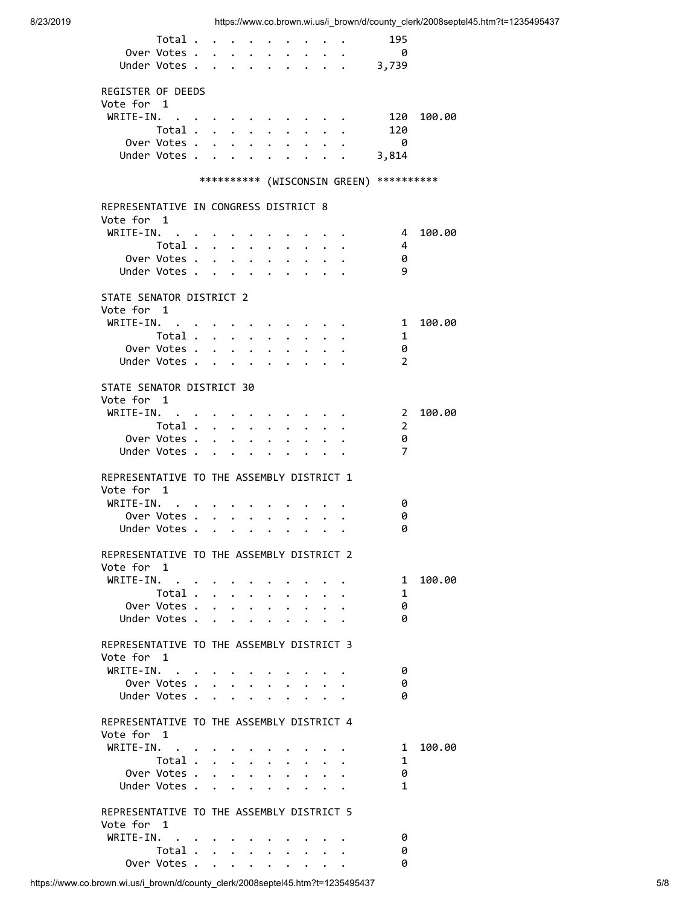| Total                                               |                      |                         |                                                                         |                      |                                              |                      |                                |                                                   | 195                                     |        |
|-----------------------------------------------------|----------------------|-------------------------|-------------------------------------------------------------------------|----------------------|----------------------------------------------|----------------------|--------------------------------|---------------------------------------------------|-----------------------------------------|--------|
| Over Votes .                                        |                      |                         | $\cdot$ $\cdot$ $\cdot$                                                 | $\ddot{\phantom{0}}$ | $\bullet$ . The set of $\bullet$             |                      |                                | $\bullet$ $\bullet$ $\bullet$ $\bullet$ $\bullet$ | $\theta$                                |        |
| Under Votes 3,739                                   |                      |                         |                                                                         |                      |                                              |                      |                                |                                                   |                                         |        |
|                                                     |                      |                         |                                                                         |                      |                                              |                      |                                |                                                   |                                         |        |
| REGISTER OF DEEDS                                   |                      |                         |                                                                         |                      |                                              |                      |                                |                                                   |                                         |        |
| Vote for 1                                          |                      |                         |                                                                         |                      |                                              |                      |                                |                                                   |                                         |        |
| WRITE-IN.                                           |                      | $\cdot$ $\cdot$ $\cdot$ |                                                                         |                      |                                              |                      |                                |                                                   | 120                                     | 100.00 |
| Total .                                             | $\ddot{\phantom{a}}$ |                         | $\ddot{\phantom{a}}$                                                    | $\ddot{\phantom{0}}$ | $\bullet$                                    |                      |                                |                                                   | 120                                     |        |
| Over Votes .                                        |                      |                         | $\mathbf{1}$ $\mathbf{1}$ $\mathbf{1}$ $\mathbf{1}$                     | $\mathbf{A}$         | $\ddot{\phantom{0}}$                         | $\mathbf{r}$         | $\ddot{\phantom{0}}$           |                                                   | $\theta$                                |        |
| Under Votes .                                       |                      |                         |                                                                         | $\mathbf{r}$         | $\sim$ $\sim$                                |                      |                                |                                                   | $\cdot \quad . \quad . \quad 3,814$     |        |
|                                                     |                      |                         |                                                                         |                      |                                              |                      |                                |                                                   |                                         |        |
|                                                     |                      |                         |                                                                         |                      |                                              |                      |                                |                                                   | ********** (WISCONSIN GREEN) ********** |        |
|                                                     |                      |                         |                                                                         |                      |                                              |                      |                                |                                                   |                                         |        |
| REPRESENTATIVE IN CONGRESS DISTRICT 8<br>Vote for 1 |                      |                         |                                                                         |                      |                                              |                      |                                |                                                   |                                         |        |
| WRITE-IN. .                                         |                      |                         |                                                                         |                      |                                              |                      |                                |                                                   | $\overline{4}$                          | 100.00 |
| Total                                               |                      |                         | $\bullet$ .<br><br><br><br><br><br><br><br><br><br><br><br><br><br><br> |                      |                                              |                      |                                |                                                   | 4                                       |        |
| Over Votes .                                        | $\mathbf{r}$         |                         | $\mathbf{r} = \mathbf{r}$                                               | $\ddot{\phantom{0}}$ | $\ddot{\phantom{0}}$<br>$\ddot{\phantom{a}}$ | $\ddot{\phantom{0}}$ | $\ddot{\phantom{0}}$<br>$\sim$ |                                                   | 0                                       |        |
| Under Votes .                                       | $\ddot{\phantom{0}}$ |                         | $\cdot$ $\cdot$ $\cdot$ $\cdot$                                         |                      |                                              |                      | $\ddot{\phantom{a}}$           |                                                   | 9                                       |        |
|                                                     |                      |                         |                                                                         |                      |                                              |                      |                                |                                                   |                                         |        |
| STATE SENATOR DISTRICT 2                            |                      |                         |                                                                         |                      |                                              |                      |                                |                                                   |                                         |        |
| Vote for 1                                          |                      |                         |                                                                         |                      |                                              |                      |                                |                                                   |                                         |        |
| WRITE-IN.                                           |                      |                         |                                                                         |                      |                                              |                      |                                |                                                   | 1                                       | 100.00 |
| Total .                                             |                      |                         | $\cdot$ $\cdot$ $\cdot$                                                 | $\ddot{\phantom{0}}$ | $\bullet$                                    |                      |                                |                                                   | 1                                       |        |
| Over Votes .                                        |                      | 2.121                   | $\mathbf{L}$                                                            | $\ddot{\phantom{a}}$ | $\cdot$                                      | $\ddot{\phantom{0}}$ |                                |                                                   | 0                                       |        |
| Under Votes.                                        | $\mathbf{A}$         | $\ddot{\phantom{a}}$    | $\sim$ $\sim$                                                           |                      | $\sim$                                       |                      |                                |                                                   | $\overline{2}$                          |        |
|                                                     |                      |                         |                                                                         |                      |                                              |                      |                                |                                                   |                                         |        |
| STATE SENATOR DISTRICT 30                           |                      |                         |                                                                         |                      |                                              |                      |                                |                                                   |                                         |        |
| Vote for 1                                          |                      |                         |                                                                         |                      |                                              |                      |                                |                                                   |                                         |        |
| WRITE-IN.                                           |                      |                         |                                                                         |                      |                                              |                      |                                |                                                   | $\overline{\phantom{0}}$                | 100.00 |
| Total .                                             | $\ddot{\phantom{a}}$ |                         | $\ddot{\phantom{1}}$                                                    | $\ddot{\phantom{0}}$ |                                              |                      |                                |                                                   | $\overline{2}$                          |        |
| Over Votes .                                        |                      |                         | $\ddot{\phantom{0}}$                                                    |                      |                                              |                      |                                |                                                   | 0                                       |        |
| Under Votes.                                        | $\ddot{\phantom{a}}$ | $\ddot{\phantom{a}}$    | $\ddot{\phantom{a}}$                                                    |                      |                                              |                      |                                |                                                   | 7                                       |        |
|                                                     |                      |                         |                                                                         |                      |                                              |                      |                                |                                                   |                                         |        |
| REPRESENTATIVE TO THE ASSEMBLY DISTRICT 1           |                      |                         |                                                                         |                      |                                              |                      |                                |                                                   |                                         |        |
| Vote for 1                                          |                      |                         |                                                                         |                      |                                              |                      |                                |                                                   |                                         |        |
| WRITE-IN.                                           |                      |                         |                                                                         |                      |                                              |                      |                                |                                                   | 0                                       |        |
| Over Votes .                                        |                      | $\bullet$ .             | $\ddot{\phantom{a}}$                                                    |                      |                                              |                      |                                |                                                   | 0                                       |        |
| Under Votes.                                        |                      |                         |                                                                         |                      |                                              |                      |                                |                                                   | 0                                       |        |
|                                                     |                      |                         |                                                                         |                      |                                              |                      |                                |                                                   |                                         |        |
| REPRESENTATIVE TO THE ASSEMBLY DISTRICT 2           |                      |                         |                                                                         |                      |                                              |                      |                                |                                                   |                                         |        |
| Vote for 1                                          |                      |                         |                                                                         |                      |                                              |                      |                                |                                                   |                                         |        |
| WRITE-IN.                                           |                      |                         |                                                                         |                      |                                              |                      |                                |                                                   | $\mathbf{1}$                            | 100.00 |
| Total                                               |                      |                         |                                                                         |                      |                                              |                      |                                |                                                   | 1                                       |        |
| Over Votes                                          |                      |                         |                                                                         |                      |                                              |                      |                                |                                                   | 0                                       |        |
| Under Votes                                         |                      |                         |                                                                         |                      |                                              |                      |                                |                                                   | 0                                       |        |
|                                                     |                      |                         |                                                                         |                      |                                              |                      |                                |                                                   |                                         |        |
| REPRESENTATIVE TO THE ASSEMBLY DISTRICT 3           |                      |                         |                                                                         |                      |                                              |                      |                                |                                                   |                                         |        |
| Vote for 1                                          |                      |                         |                                                                         |                      |                                              |                      |                                |                                                   |                                         |        |
| WRITE-IN.                                           |                      |                         |                                                                         |                      |                                              |                      |                                |                                                   | 0                                       |        |
| Over Votes                                          |                      |                         |                                                                         |                      |                                              |                      |                                |                                                   | 0                                       |        |
| Under Votes                                         |                      |                         |                                                                         |                      |                                              |                      |                                |                                                   | 0                                       |        |
|                                                     |                      |                         |                                                                         |                      |                                              |                      |                                |                                                   |                                         |        |
| REPRESENTATIVE TO THE ASSEMBLY DISTRICT 4           |                      |                         |                                                                         |                      |                                              |                      |                                |                                                   |                                         |        |
| Vote for 1                                          |                      |                         |                                                                         |                      |                                              |                      |                                |                                                   |                                         |        |
| WRITE-IN.                                           |                      |                         |                                                                         |                      |                                              |                      |                                |                                                   | 1                                       | 100.00 |
| Total $\cdots$ $\cdots$                             |                      |                         |                                                                         |                      |                                              |                      | $\ddot{\phantom{a}}$           | $\ddot{\phantom{a}}$                              | 1                                       |        |
| Over Votes                                          |                      |                         |                                                                         |                      |                                              |                      |                                |                                                   | 0                                       |        |
| Under Votes                                         |                      |                         |                                                                         |                      |                                              |                      |                                |                                                   | 1                                       |        |
|                                                     |                      |                         |                                                                         |                      |                                              |                      |                                |                                                   |                                         |        |
| REPRESENTATIVE TO THE ASSEMBLY DISTRICT 5           |                      |                         |                                                                         |                      |                                              |                      |                                |                                                   |                                         |        |
| Vote for 1<br>WRITE-IN.                             |                      |                         |                                                                         |                      |                                              |                      |                                |                                                   | 0                                       |        |
|                                                     |                      |                         |                                                                         |                      |                                              |                      |                                |                                                   |                                         |        |
| Total                                               |                      |                         |                                                                         |                      | $\bullet$ . $\bullet$                        |                      |                                |                                                   | 0                                       |        |
| Over Votes                                          |                      |                         |                                                                         |                      |                                              |                      |                                |                                                   | 0                                       |        |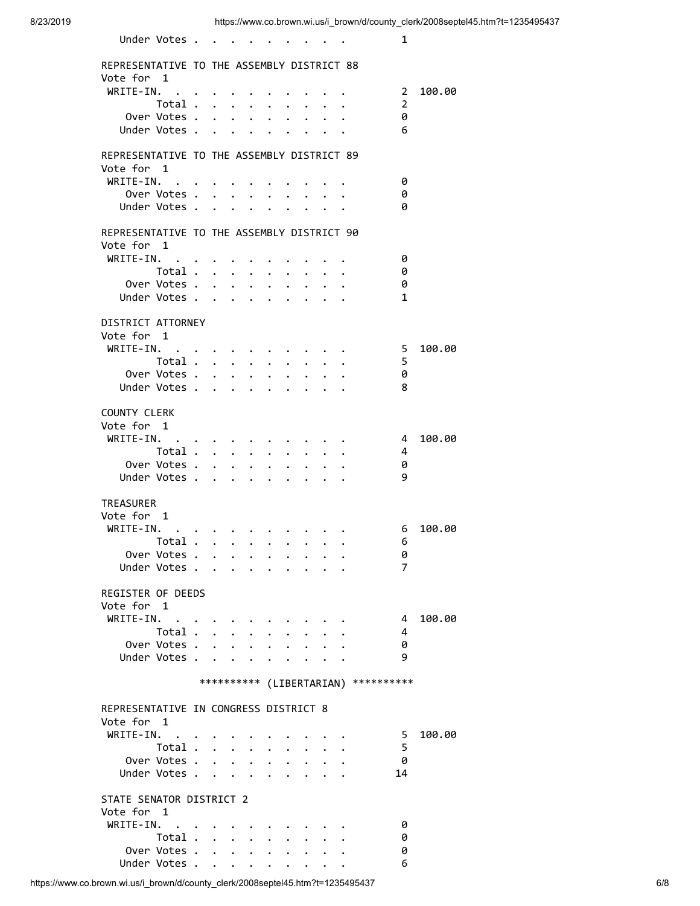| Under Votes                                                                                                                  |                      |                                                      |                                                  |                               |                                                                                                                                                     |                      |                                      | 1              |        |
|------------------------------------------------------------------------------------------------------------------------------|----------------------|------------------------------------------------------|--------------------------------------------------|-------------------------------|-----------------------------------------------------------------------------------------------------------------------------------------------------|----------------------|--------------------------------------|----------------|--------|
| REPRESENTATIVE TO THE ASSEMBLY DISTRICT 88                                                                                   |                      |                                                      |                                                  |                               |                                                                                                                                                     |                      |                                      |                |        |
| Vote for 1                                                                                                                   |                      |                                                      |                                                  |                               |                                                                                                                                                     |                      |                                      |                |        |
| WRITE-IN.                                                                                                                    |                      |                                                      |                                                  |                               |                                                                                                                                                     |                      |                                      | $2^{\circ}$    | 100.00 |
| Total                                                                                                                        |                      |                                                      | $\bullet$                                        | $\ddot{\phantom{0}}$          | $\bullet$                                                                                                                                           |                      |                                      | 2              |        |
| Over Votes .                                                                                                                 |                      | $\ddot{\phantom{a}}$<br>$\ddot{\phantom{0}}$         | $\bullet$                                        | $\ddot{\phantom{0}}$          | $\ddot{\phantom{0}}$                                                                                                                                |                      |                                      | 0              |        |
| Under Votes .                                                                                                                | $\ddot{\phantom{a}}$ | $\ddot{\phantom{0}}$                                 | $\bullet$                                        |                               |                                                                                                                                                     |                      |                                      | 6              |        |
| REPRESENTATIVE TO THE ASSEMBLY DISTRICT 89                                                                                   |                      |                                                      |                                                  |                               |                                                                                                                                                     |                      |                                      |                |        |
| Vote for 1                                                                                                                   |                      |                                                      |                                                  |                               |                                                                                                                                                     |                      |                                      |                |        |
| WRITE-IN.                                                                                                                    |                      | $\bullet$ . In the case of the case of the $\bullet$ |                                                  |                               | $\cdot$ $\cdot$ $\cdot$ $\cdot$                                                                                                                     |                      |                                      | 0              |        |
| Over Votes                                                                                                                   |                      |                                                      | $\ddot{\phantom{0}}$                             |                               | $\bullet$ . The set of $\bullet$                                                                                                                    | $\cdot$ $\cdot$      |                                      | 0              |        |
| Under Votes                                                                                                                  |                      |                                                      |                                                  | $\bullet$ $\bullet$ $\bullet$ | $\bullet$ .<br><br><br><br><br><br><br><br><br><br><br><br><br><br><br><br><br><br><br><br><br><br><br><br><br><br><br><br><br><br><br><br><br><br> | $\ddot{\phantom{0}}$ |                                      | 0              |        |
|                                                                                                                              |                      |                                                      |                                                  |                               |                                                                                                                                                     |                      |                                      |                |        |
| REPRESENTATIVE TO THE ASSEMBLY DISTRICT 90<br>Vote for 1                                                                     |                      |                                                      |                                                  |                               |                                                                                                                                                     |                      |                                      |                |        |
| WRITE-IN.<br>$\bullet$                                                                                                       |                      |                                                      |                                                  |                               |                                                                                                                                                     |                      |                                      | 0              |        |
| Total                                                                                                                        |                      |                                                      | $\ddot{\phantom{0}}$                             | $\ddot{\phantom{0}}$          |                                                                                                                                                     |                      |                                      | 0              |        |
| Over Votes .                                                                                                                 | $\mathbf{r}$         | $\ddot{\phantom{a}}$                                 | $\ddot{\phantom{0}}$<br>$\ddot{\phantom{0}}$     | $\ddot{\phantom{0}}$          | $\bullet$                                                                                                                                           | $\ddot{\phantom{0}}$ | $\ddot{\phantom{a}}$                 | 0              |        |
| Under Votes                                                                                                                  |                      | $\ddot{\phantom{a}}$<br>$\ddot{\phantom{0}}$         |                                                  | $\bullet$                     | $\ddot{\phantom{0}}$                                                                                                                                | $\bullet$            |                                      | 1              |        |
|                                                                                                                              |                      |                                                      |                                                  |                               |                                                                                                                                                     |                      |                                      |                |        |
| DISTRICT ATTORNEY                                                                                                            |                      |                                                      |                                                  |                               |                                                                                                                                                     |                      |                                      |                |        |
| Vote for 1                                                                                                                   |                      |                                                      |                                                  |                               |                                                                                                                                                     |                      |                                      |                |        |
| $WRITE-IN.$<br>Total .                                                                                                       | $\ddot{\phantom{0}}$ |                                                      |                                                  |                               |                                                                                                                                                     |                      |                                      | 5.<br>5        | 100.00 |
| Over Votes .                                                                                                                 |                      | $\sim$<br>$\ddot{\phantom{0}}$                       | $\bullet$ .<br>$\bullet$<br>$\ddot{\phantom{0}}$ |                               | $\bullet$                                                                                                                                           |                      |                                      | 0              |        |
| Under Votes.                                                                                                                 | $\mathbf{r}$         | $\ddot{\phantom{a}}$<br>$\ddot{\phantom{0}}$         | $\ddot{\phantom{a}}$                             | $\bullet$                     | $\ddot{\phantom{0}}$                                                                                                                                |                      |                                      | 8              |        |
|                                                                                                                              |                      |                                                      |                                                  |                               |                                                                                                                                                     |                      |                                      |                |        |
| COUNTY CLERK                                                                                                                 |                      |                                                      |                                                  |                               |                                                                                                                                                     |                      |                                      |                |        |
| Vote for 1                                                                                                                   |                      |                                                      |                                                  |                               |                                                                                                                                                     |                      |                                      |                |        |
| WRITE-IN.                                                                                                                    |                      |                                                      |                                                  |                               |                                                                                                                                                     |                      |                                      | 4              | 100.00 |
| Total .                                                                                                                      | $\mathbf{A}$         | $\ddot{\phantom{0}}$<br>$\ddot{\phantom{a}}$         |                                                  |                               |                                                                                                                                                     |                      |                                      | 4              |        |
| Over Votes .                                                                                                                 |                      |                                                      |                                                  |                               |                                                                                                                                                     |                      |                                      | 0              |        |
| Under Votes .                                                                                                                | $\ddot{\phantom{a}}$ | $\ddot{\phantom{a}}$                                 |                                                  |                               |                                                                                                                                                     |                      |                                      | 9              |        |
| TREASURER                                                                                                                    |                      |                                                      |                                                  |                               |                                                                                                                                                     |                      |                                      |                |        |
| Vote for 1                                                                                                                   |                      |                                                      |                                                  |                               |                                                                                                                                                     |                      |                                      |                |        |
| WRITE-IN.<br>the contract of the contract of the contract of the contract of the contract of the contract of the contract of |                      |                                                      |                                                  |                               |                                                                                                                                                     |                      |                                      | 6              | 100.00 |
| Total.                                                                                                                       |                      |                                                      |                                                  |                               |                                                                                                                                                     |                      |                                      | 6              |        |
| Over Votes                                                                                                                   |                      |                                                      |                                                  |                               |                                                                                                                                                     |                      |                                      | 0              |        |
| Under Votes.                                                                                                                 | $\sim$               |                                                      |                                                  |                               |                                                                                                                                                     |                      |                                      | $\overline{7}$ |        |
|                                                                                                                              |                      |                                                      |                                                  |                               |                                                                                                                                                     |                      |                                      |                |        |
| REGISTER OF DEEDS<br>Vote for 1                                                                                              |                      |                                                      |                                                  |                               |                                                                                                                                                     |                      |                                      |                |        |
| WRITE-IN.                                                                                                                    |                      |                                                      |                                                  |                               |                                                                                                                                                     |                      |                                      | 4              | 100.00 |
| Total                                                                                                                        |                      |                                                      | $\bullet$ .                                      |                               |                                                                                                                                                     |                      |                                      | 4              |        |
| Over Votes                                                                                                                   |                      |                                                      |                                                  |                               |                                                                                                                                                     |                      |                                      | 0              |        |
| Under Votes.                                                                                                                 |                      | $\ddot{\phantom{a}}$                                 |                                                  |                               |                                                                                                                                                     |                      |                                      | 9              |        |
|                                                                                                                              |                      |                                                      |                                                  |                               |                                                                                                                                                     |                      |                                      |                |        |
|                                                                                                                              |                      |                                                      |                                                  |                               |                                                                                                                                                     |                      | *********** (LIBERTARIAN) ********** |                |        |
| REPRESENTATIVE IN CONGRESS DISTRICT 8                                                                                        |                      |                                                      |                                                  |                               |                                                                                                                                                     |                      |                                      |                |        |
| Vote for 1                                                                                                                   |                      |                                                      |                                                  |                               |                                                                                                                                                     |                      |                                      |                |        |
| $WRITE-IN.$                                                                                                                  |                      |                                                      |                                                  |                               |                                                                                                                                                     |                      |                                      | 5              | 100.00 |
| Total                                                                                                                        |                      |                                                      |                                                  |                               |                                                                                                                                                     |                      |                                      | 5              |        |
| Over Votes .                                                                                                                 |                      | $\cdot$ $\cdot$ $\cdot$ $\cdot$                      |                                                  |                               |                                                                                                                                                     |                      |                                      | 0              |        |
| Under Votes .                                                                                                                |                      | $\mathbf{L}$                                         | $\sim$                                           |                               |                                                                                                                                                     |                      |                                      | 14             |        |
|                                                                                                                              |                      |                                                      |                                                  |                               |                                                                                                                                                     |                      |                                      |                |        |
| STATE SENATOR DISTRICT 2                                                                                                     |                      |                                                      |                                                  |                               |                                                                                                                                                     |                      |                                      |                |        |
| Vote for 1                                                                                                                   |                      |                                                      |                                                  |                               |                                                                                                                                                     |                      |                                      |                |        |
| WRITE-IN.<br>Total                                                                                                           |                      |                                                      |                                                  |                               |                                                                                                                                                     |                      |                                      | 0<br>0         |        |
| Over Votes                                                                                                                   |                      |                                                      | $\bullet$ .<br>$\bullet$ .                       |                               |                                                                                                                                                     |                      |                                      | 0              |        |
| Under Votes .                                                                                                                |                      |                                                      |                                                  |                               |                                                                                                                                                     |                      |                                      | 6              |        |
|                                                                                                                              |                      |                                                      |                                                  |                               |                                                                                                                                                     |                      |                                      |                |        |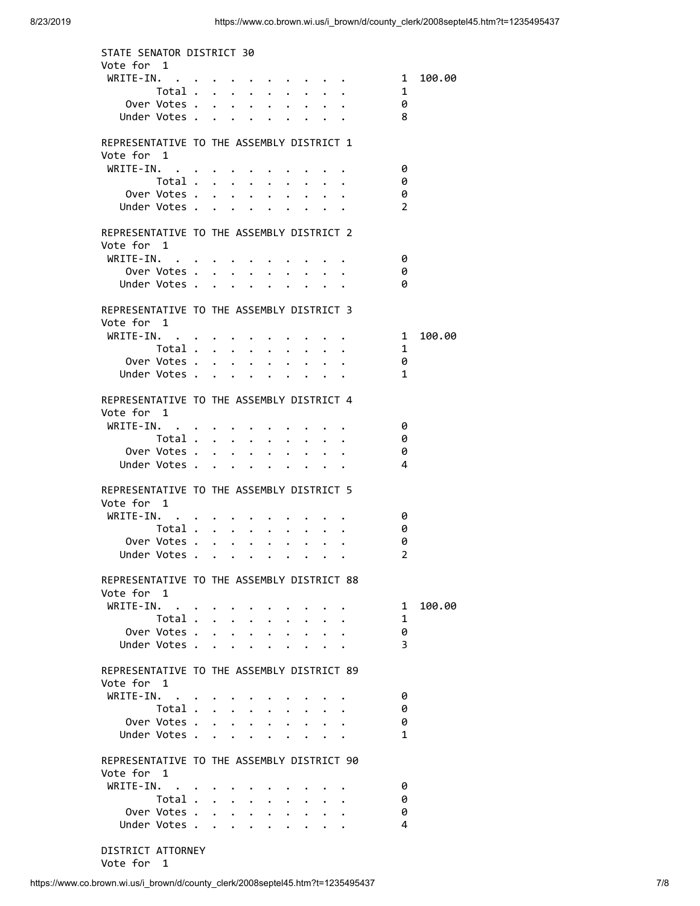| STATE SENATOR DISTRICT 30                  |                                  |                                                     |                                                   |                               |                                  |                                                           |                                                                     |                         |        |
|--------------------------------------------|----------------------------------|-----------------------------------------------------|---------------------------------------------------|-------------------------------|----------------------------------|-----------------------------------------------------------|---------------------------------------------------------------------|-------------------------|--------|
| Vote for 1                                 |                                  |                                                     |                                                   |                               |                                  |                                                           |                                                                     |                         |        |
| WRITE-IN.                                  |                                  |                                                     |                                                   |                               |                                  |                                                           |                                                                     | $\overline{1}$          | 100.00 |
| Total .<br>Over Votes .                    |                                  |                                                     | $\cdot$ $\cdot$ $\cdot$ $\cdot$ $\cdot$           |                               |                                  |                                                           |                                                                     | 1                       |        |
| Under Votes.                               |                                  | $\bullet$ . The set of $\bullet$                    | $\ddot{\phantom{0}}$<br>$\bullet$ .               |                               |                                  |                                                           |                                                                     | 0<br>8                  |        |
|                                            | $\mathbf{r}$                     | $\mathbf{L}$                                        | $\mathbf{L}$<br>$\ddot{\phantom{0}}$              | $\ddot{\phantom{a}}$          |                                  |                                                           |                                                                     |                         |        |
| REPRESENTATIVE TO THE ASSEMBLY DISTRICT 1  |                                  |                                                     |                                                   |                               |                                  |                                                           |                                                                     |                         |        |
| Vote for 1                                 |                                  |                                                     |                                                   |                               |                                  |                                                           |                                                                     |                         |        |
| WRITE-IN.                                  |                                  |                                                     |                                                   |                               |                                  |                                                           |                                                                     | 0                       |        |
| Total                                      |                                  |                                                     |                                                   |                               |                                  |                                                           |                                                                     | 0                       |        |
| Over Votes .                               |                                  |                                                     |                                                   |                               |                                  |                                                           |                                                                     | 0                       |        |
| Under Votes .                              |                                  |                                                     |                                                   |                               |                                  |                                                           |                                                                     | $\overline{2}$          |        |
|                                            |                                  |                                                     |                                                   |                               |                                  |                                                           |                                                                     |                         |        |
| REPRESENTATIVE TO THE ASSEMBLY DISTRICT 2  |                                  |                                                     |                                                   |                               |                                  |                                                           |                                                                     |                         |        |
| Vote for 1                                 |                                  |                                                     |                                                   |                               |                                  |                                                           |                                                                     |                         |        |
| WRITE-IN.                                  |                                  |                                                     |                                                   |                               |                                  |                                                           |                                                                     | 0                       |        |
| Over Votes                                 |                                  |                                                     |                                                   |                               |                                  |                                                           |                                                                     | 0                       |        |
| Under Votes                                |                                  |                                                     |                                                   |                               |                                  |                                                           |                                                                     | 0                       |        |
|                                            |                                  |                                                     |                                                   |                               |                                  |                                                           |                                                                     |                         |        |
| REPRESENTATIVE TO THE ASSEMBLY DISTRICT 3  |                                  |                                                     |                                                   |                               |                                  |                                                           |                                                                     |                         |        |
| Vote for 1                                 |                                  |                                                     |                                                   |                               |                                  |                                                           |                                                                     |                         |        |
| WRITE-IN.                                  |                                  |                                                     |                                                   |                               |                                  |                                                           |                                                                     | $\overline{\mathbf{1}}$ | 100.00 |
| Total                                      |                                  |                                                     |                                                   |                               | $\bullet$ . The set of $\bullet$ |                                                           | $\ddot{\phantom{0}}$                                                | - 1                     |        |
| Over Votes .                               | $\bullet$ . The set of $\bullet$ | $\sim$ $\sim$ $\sim$                                | $\ddot{\phantom{0}}$                              | $\bullet$                     |                                  |                                                           | $\bullet$ $\bullet$ $\bullet$                                       | 0                       |        |
| Under Votes                                |                                  |                                                     |                                                   |                               |                                  |                                                           |                                                                     | $\mathbf{1}$            |        |
|                                            |                                  |                                                     |                                                   |                               |                                  |                                                           |                                                                     |                         |        |
| REPRESENTATIVE TO THE ASSEMBLY DISTRICT 4  |                                  |                                                     |                                                   |                               |                                  |                                                           |                                                                     |                         |        |
| Vote for 1                                 |                                  |                                                     |                                                   |                               |                                  |                                                           |                                                                     |                         |        |
| WRITE-IN.                                  |                                  |                                                     | $\cdot$ $\cdot$ $\cdot$ $\cdot$ $\cdot$ $\cdot$   |                               |                                  |                                                           |                                                                     | - 0                     |        |
| Total                                      |                                  |                                                     |                                                   |                               |                                  | $\mathbf{r}$ , $\mathbf{r}$ , $\mathbf{r}$ , $\mathbf{r}$ |                                                                     | - 0                     |        |
| Over Votes .                               |                                  |                                                     | $\ddot{\bullet}$                                  |                               |                                  |                                                           | $\ddot{\phantom{0}}$                                                | 0                       |        |
| Under Votes                                |                                  |                                                     |                                                   |                               |                                  |                                                           |                                                                     | 4                       |        |
|                                            |                                  |                                                     |                                                   |                               |                                  |                                                           |                                                                     |                         |        |
| REPRESENTATIVE TO THE ASSEMBLY DISTRICT 5  |                                  |                                                     |                                                   |                               |                                  |                                                           |                                                                     |                         |        |
| Vote for 1                                 |                                  |                                                     |                                                   |                               |                                  |                                                           |                                                                     |                         |        |
| WRITE-IN.                                  |                                  | $\bullet$ . In the case of the case of the $\alpha$ |                                                   | $\bullet$ $\bullet$ $\bullet$ |                                  |                                                           |                                                                     | 0                       |        |
| Total                                      |                                  |                                                     | $\sim$ 100 $\pm$                                  | $\bullet$                     |                                  |                                                           |                                                                     | 0                       |        |
| Over Votes                                 |                                  |                                                     |                                                   |                               | $\bullet$ . The set of $\bullet$ |                                                           | $\bullet$ .<br><br><br><br><br><br><br><br><br><br><br><br><br><br> | 0                       |        |
| Under Votes                                |                                  |                                                     |                                                   |                               |                                  |                                                           |                                                                     | $\overline{2}$          |        |
|                                            |                                  |                                                     |                                                   |                               |                                  |                                                           |                                                                     |                         |        |
| REPRESENTATIVE TO THE ASSEMBLY DISTRICT 88 |                                  |                                                     |                                                   |                               |                                  |                                                           |                                                                     |                         |        |
| Vote for 1                                 |                                  |                                                     |                                                   |                               |                                  |                                                           |                                                                     |                         |        |
| WRITE-IN.                                  |                                  |                                                     |                                                   |                               |                                  |                                                           |                                                                     | 1                       | 100.00 |
| Total                                      |                                  |                                                     | $\ddot{\phantom{0}}$                              |                               |                                  |                                                           |                                                                     | 1                       |        |
| Over Votes                                 |                                  |                                                     | $\ddot{\phantom{0}}$                              | $\ddot{\phantom{0}}$          |                                  |                                                           |                                                                     | 0                       |        |
| Under Votes                                |                                  |                                                     | $\cdot$ $\cdot$ $\cdot$                           |                               |                                  | $\ddot{\phantom{0}}$                                      |                                                                     | 3                       |        |
|                                            |                                  |                                                     |                                                   |                               |                                  |                                                           |                                                                     |                         |        |
| REPRESENTATIVE TO THE ASSEMBLY DISTRICT 89 |                                  |                                                     |                                                   |                               |                                  |                                                           |                                                                     |                         |        |
| Vote for 1                                 |                                  |                                                     |                                                   |                               |                                  |                                                           |                                                                     |                         |        |
| $WRITE-IN.$                                |                                  |                                                     |                                                   |                               |                                  |                                                           |                                                                     | 0                       |        |
| Total $\cdots$ $\cdots$                    |                                  |                                                     |                                                   |                               |                                  |                                                           |                                                                     | 0                       |        |
| Over Votes .                               |                                  | $\bullet$ . The set of $\bullet$                    | $\bullet$ .<br>$\bullet$                          |                               |                                  |                                                           |                                                                     | 0                       |        |
| Under Votes .                              | $\mathbf{A}$                     | $\mathbf{A}$                                        | $\ddot{\phantom{0}}$<br>$\ddot{\phantom{0}}$      | $\ddot{\phantom{a}}$          |                                  |                                                           |                                                                     | $\mathbf{1}$            |        |
|                                            |                                  |                                                     |                                                   |                               |                                  |                                                           |                                                                     |                         |        |
| REPRESENTATIVE TO THE ASSEMBLY DISTRICT 90 |                                  |                                                     |                                                   |                               |                                  |                                                           |                                                                     |                         |        |
| Vote for 1                                 |                                  |                                                     |                                                   |                               |                                  |                                                           |                                                                     |                         |        |
| WRITE-IN.                                  |                                  |                                                     |                                                   |                               |                                  |                                                           |                                                                     | 0                       |        |
| Total                                      |                                  |                                                     |                                                   |                               |                                  |                                                           |                                                                     | 0                       |        |
| Over Votes .                               |                                  | $\bullet$ . The set of $\bullet$                    | $\mathbf{L}^{\text{max}}$<br>$\ddot{\phantom{0}}$ |                               |                                  |                                                           |                                                                     | 0                       |        |
| Under Votes .                              | $\sim$                           | $\ddot{\phantom{a}}$                                | $\bullet$ .<br>$\ddot{\phantom{0}}$               | $\ddot{\phantom{0}}$          |                                  |                                                           |                                                                     | 4                       |        |
|                                            |                                  |                                                     |                                                   |                               |                                  |                                                           |                                                                     |                         |        |
| DISTRICT ATTORNEY                          |                                  |                                                     |                                                   |                               |                                  |                                                           |                                                                     |                         |        |

Vote for 1